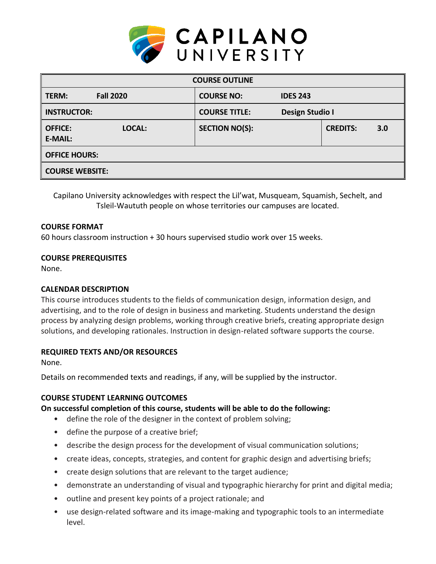

| <b>COURSE OUTLINE</b>                      |                       |                 |                 |     |
|--------------------------------------------|-----------------------|-----------------|-----------------|-----|
| <b>Fall 2020</b><br>TERM:                  | <b>COURSE NO:</b>     | <b>IDES 243</b> |                 |     |
| <b>INSTRUCTOR:</b>                         | <b>COURSE TITLE:</b>  | Design Studio I |                 |     |
| <b>OFFICE:</b><br>LOCAL:<br><b>E-MAIL:</b> | <b>SECTION NO(S):</b> |                 | <b>CREDITS:</b> | 3.0 |
| <b>OFFICE HOURS:</b>                       |                       |                 |                 |     |
| <b>COURSE WEBSITE:</b>                     |                       |                 |                 |     |

Capilano University acknowledges with respect the Lil'wat, Musqueam, Squamish, Sechelt, and Tsleil-Waututh people on whose territories our campuses are located.

#### **COURSE FORMAT**

60 hours classroom instruction + 30 hours supervised studio work over 15 weeks.

#### **COURSE PREREQUISITES**

None.

# **CALENDAR DESCRIPTION**

This course introduces students to the fields of communication design, information design, and advertising, and to the role of design in business and marketing. Students understand the design process by analyzing design problems, working through creative briefs, creating appropriate design solutions, and developing rationales. Instruction in design-related software supports the course.

# **REQUIRED TEXTS AND/OR RESOURCES**

None.

Details on recommended texts and readings, if any, will be supplied by the instructor.

# **COURSE STUDENT LEARNING OUTCOMES**

# **On successful completion of this course, students will be able to do the following:**

- define the role of the designer in the context of problem solving;
- define the purpose of a creative brief;
- describe the design process for the development of visual communication solutions;
- create ideas, concepts, strategies, and content for graphic design and advertising briefs;
- create design solutions that are relevant to the target audience;
- demonstrate an understanding of visual and typographic hierarchy for print and digital media;
- outline and present key points of a project rationale; and
- use design-related software and its image-making and typographic tools to an intermediate level.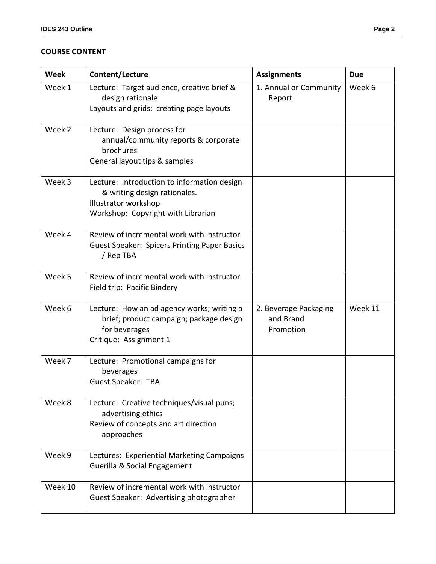# **COURSE CONTENT**

| <b>Week</b> | Content/Lecture                                                                                                                           | <b>Assignments</b>                              | <b>Due</b> |
|-------------|-------------------------------------------------------------------------------------------------------------------------------------------|-------------------------------------------------|------------|
| Week 1      | Lecture: Target audience, creative brief &<br>design rationale<br>Layouts and grids: creating page layouts                                | 1. Annual or Community<br>Report                | Week 6     |
| Week 2      | Lecture: Design process for<br>annual/community reports & corporate<br>brochures<br>General layout tips & samples                         |                                                 |            |
| Week 3      | Lecture: Introduction to information design<br>& writing design rationales.<br>Illustrator workshop<br>Workshop: Copyright with Librarian |                                                 |            |
| Week 4      | Review of incremental work with instructor<br><b>Guest Speaker: Spicers Printing Paper Basics</b><br>/ Rep TBA                            |                                                 |            |
| Week 5      | Review of incremental work with instructor<br>Field trip: Pacific Bindery                                                                 |                                                 |            |
| Week 6      | Lecture: How an ad agency works; writing a<br>brief; product campaign; package design<br>for beverages<br>Critique: Assignment 1          | 2. Beverage Packaging<br>and Brand<br>Promotion | Week 11    |
| Week 7      | Lecture: Promotional campaigns for<br>beverages<br><b>Guest Speaker: TBA</b>                                                              |                                                 |            |
| Week 8      | Lecture: Creative techniques/visual puns;<br>advertising ethics<br>Review of concepts and art direction<br>approaches                     |                                                 |            |
| Week 9      | Lectures: Experiential Marketing Campaigns<br>Guerilla & Social Engagement                                                                |                                                 |            |
| Week 10     | Review of incremental work with instructor<br>Guest Speaker: Advertising photographer                                                     |                                                 |            |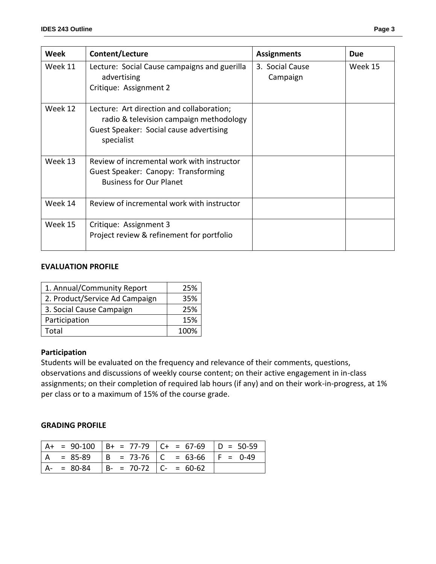| Week    | Content/Lecture                                                                                                                               | <b>Assignments</b>          | <b>Due</b> |
|---------|-----------------------------------------------------------------------------------------------------------------------------------------------|-----------------------------|------------|
| Week 11 | Lecture: Social Cause campaigns and guerilla<br>advertising<br>Critique: Assignment 2                                                         | 3. Social Cause<br>Campaign | Week 15    |
| Week 12 | Lecture: Art direction and collaboration;<br>radio & television campaign methodology<br>Guest Speaker: Social cause advertising<br>specialist |                             |            |
| Week 13 | Review of incremental work with instructor<br>Guest Speaker: Canopy: Transforming<br><b>Business for Our Planet</b>                           |                             |            |
| Week 14 | Review of incremental work with instructor                                                                                                    |                             |            |
| Week 15 | Critique: Assignment 3<br>Project review & refinement for portfolio                                                                           |                             |            |

# **EVALUATION PROFILE**

| 1. Annual/Community Report     | 25%  |
|--------------------------------|------|
| 2. Product/Service Ad Campaign | 35%  |
| 3. Social Cause Campaign       | 25%  |
| Participation                  | 15%  |
| Total                          | 100% |

#### **Participation**

Students will be evaluated on the frequency and relevance of their comments, questions, observations and discussions of weekly course content; on their active engagement in in-class assignments; on their completion of required lab hours (if any) and on their work-in-progress, at 1% per class or to a maximum of 15% of the course grade.

#### **GRADING PROFILE**

|     |               |                               | $A+ = 90-100$ $B+ = 77-79$ $C+ = 67-69$ $D = 50-59$ |             |
|-----|---------------|-------------------------------|-----------------------------------------------------|-------------|
| ' A | $= 85-89$     |                               | $  B = 73-76   C = 63-66$                           | $ F = 0-49$ |
|     | $A - = 80-84$ | $  B - = 70-72   C - = 60-62$ |                                                     |             |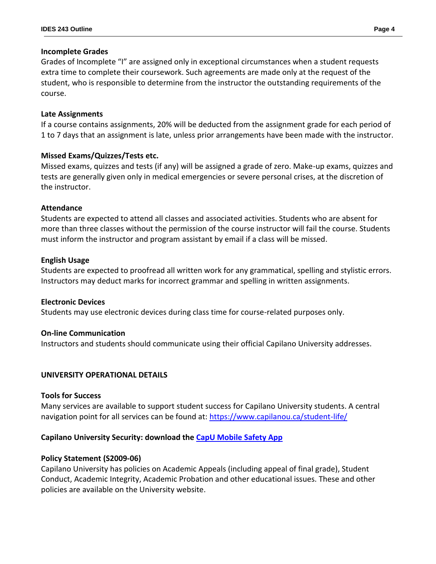# **Incomplete Grades**

Grades of Incomplete "I" are assigned only in exceptional circumstances when a student requests extra time to complete their coursework. Such agreements are made only at the request of the student, who is responsible to determine from the instructor the outstanding requirements of the course.

#### **Late Assignments**

If a course contains assignments, 20% will be deducted from the assignment grade for each period of 1 to 7 days that an assignment is late, unless prior arrangements have been made with the instructor.

# **Missed Exams/Quizzes/Tests etc.**

Missed exams, quizzes and tests (if any) will be assigned a grade of zero. Make-up exams, quizzes and tests are generally given only in medical emergencies or severe personal crises, at the discretion of the instructor.

# **Attendance**

Students are expected to attend all classes and associated activities. Students who are absent for more than three classes without the permission of the course instructor will fail the course. Students must inform the instructor and program assistant by email if a class will be missed.

# **English Usage**

Students are expected to proofread all written work for any grammatical, spelling and stylistic errors. Instructors may deduct marks for incorrect grammar and spelling in written assignments.

# **Electronic Devices**

Students may use electronic devices during class time for course-related purposes only.

# **On-line Communication**

Instructors and students should communicate using their official Capilano University addresses.

# **UNIVERSITY OPERATIONAL DETAILS**

# **Tools for Success**

Many services are available to support student success for Capilano University students. A central navigation point for all services can be found at:<https://www.capilanou.ca/student-life/>

# **Capilano University Security: download the [CapU Mobile Safety App](https://www.capilanou.ca/student-life/support--wellness/safety--security/capu-safe-app/)**

# **Policy Statement (S2009-06)**

Capilano University has policies on Academic Appeals (including appeal of final grade), Student Conduct, Academic Integrity, Academic Probation and other educational issues. These and other policies are available on the University website.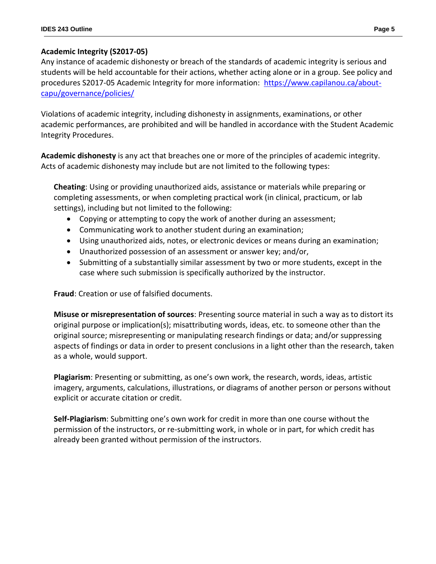# **Academic Integrity (S2017-05)**

Any instance of academic dishonesty or breach of the standards of academic integrity is serious and students will be held accountable for their actions, whether acting alone or in a group. See policy and procedures S2017-05 Academic Integrity for more information: [https://www.capilanou.ca/about](https://www.capilanou.ca/about-capu/governance/policies/)[capu/governance/policies/](https://www.capilanou.ca/about-capu/governance/policies/)

Violations of academic integrity, including dishonesty in assignments, examinations, or other academic performances, are prohibited and will be handled in accordance with the Student Academic Integrity Procedures.

**Academic dishonesty** is any act that breaches one or more of the principles of academic integrity. Acts of academic dishonesty may include but are not limited to the following types:

**Cheating**: Using or providing unauthorized aids, assistance or materials while preparing or completing assessments, or when completing practical work (in clinical, practicum, or lab settings), including but not limited to the following:

- Copying or attempting to copy the work of another during an assessment;
- Communicating work to another student during an examination;
- Using unauthorized aids, notes, or electronic devices or means during an examination;
- Unauthorized possession of an assessment or answer key; and/or,
- Submitting of a substantially similar assessment by two or more students, except in the case where such submission is specifically authorized by the instructor.

**Fraud**: Creation or use of falsified documents.

**Misuse or misrepresentation of sources**: Presenting source material in such a way as to distort its original purpose or implication(s); misattributing words, ideas, etc. to someone other than the original source; misrepresenting or manipulating research findings or data; and/or suppressing aspects of findings or data in order to present conclusions in a light other than the research, taken as a whole, would support.

**Plagiarism**: Presenting or submitting, as one's own work, the research, words, ideas, artistic imagery, arguments, calculations, illustrations, or diagrams of another person or persons without explicit or accurate citation or credit.

**Self-Plagiarism**: Submitting one's own work for credit in more than one course without the permission of the instructors, or re-submitting work, in whole or in part, for which credit has already been granted without permission of the instructors.